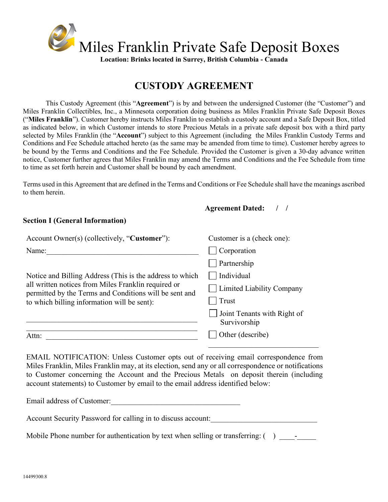

# **CUSTODY AGREEMENT**

This Custody Agreement (this "**Agreement**") is by and between the undersigned Customer (the "Customer") and Miles Franklin Collectibles, Inc., a Minnesota corporation doing business as Miles Franklin Private Safe Deposit Boxes ("**Miles Franklin**"). Customer hereby instructs Miles Franklin to establish a custody account and a Safe Deposit Box, titled as indicated below, in which Customer intends to store Precious Metals in a private safe deposit box with a third party selected by Miles Franklin (the "**Account**") subject to this Agreement (including the Miles Franklin Custody Terms and Conditions and Fee Schedule attached hereto (as the same may be amended from time to time). Customer hereby agrees to be bound by the Terms and Conditions and the Fee Schedule. Provided the Customer is given a 30-day advance written notice, Customer further agrees that Miles Franklin may amend the Terms and Conditions and the Fee Schedule from time to time as set forth herein and Customer shall be bound by each amendment.

Terms used in this Agreement that are defined in the Terms and Conditions or Fee Schedule shall have the meanings ascribed to them herein.

 **Agreement Dated: / /**

## **Section I (General Information)**

| Account Owner(s) (collectively, "Customer"):                                                                                                                                                                             | Customer is a (check one):                         |  |
|--------------------------------------------------------------------------------------------------------------------------------------------------------------------------------------------------------------------------|----------------------------------------------------|--|
| Name:                                                                                                                                                                                                                    | Corporation                                        |  |
| Notice and Billing Address (This is the address to which<br>all written notices from Miles Franklin required or<br>permitted by the Terms and Conditions will be sent and<br>to which billing information will be sent): | Partnership                                        |  |
|                                                                                                                                                                                                                          | $\Box$ Individual                                  |  |
|                                                                                                                                                                                                                          | Limited Liability Company                          |  |
|                                                                                                                                                                                                                          | Trust                                              |  |
|                                                                                                                                                                                                                          | <b>Joint Tenants with Right of</b><br>Survivorship |  |
| Attn:                                                                                                                                                                                                                    | Other (describe)                                   |  |

EMAIL NOTIFICATION: Unless Customer opts out of receiving email correspondence from Miles Franklin, Miles Franklin may, at its election, send any or all correspondence or notifications to Customer concerning the Account and the Precious Metals on deposit therein (including account statements) to Customer by email to the email address identified below:

Email address of Customer:\_\_\_\_\_\_\_\_\_\_\_\_\_\_\_\_\_\_\_\_\_\_\_\_\_\_\_\_\_\_\_\_\_\_

Account Security Password for calling in to discuss account:

Mobile Phone number for authentication by text when selling or transferring:  $($ )  $-$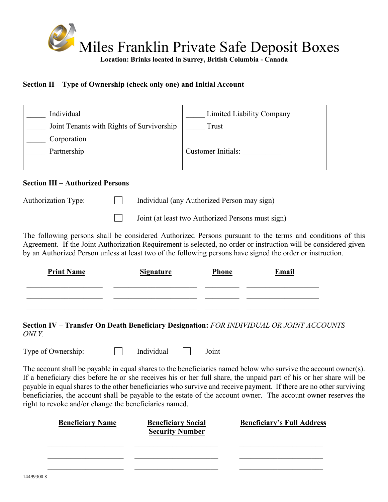

**Section II – Type of Ownership (check only one) and Initial Account**

| Individual                                | Limited Liability Company |
|-------------------------------------------|---------------------------|
| Joint Tenants with Rights of Survivorship | Trust                     |
| Corporation                               |                           |
| Partnership                               | Customer Initials:        |
|                                           |                           |

## **Section III – Authorized Persons**

| Individual (any Authorized Person may sign)<br>Authorization Type: |  |
|--------------------------------------------------------------------|--|
|--------------------------------------------------------------------|--|

 $\mathcal{L}^{\text{max}}$ Joint (at least two Authorized Persons must sign)

The following persons shall be considered Authorized Persons pursuant to the terms and conditions of this Agreement. If the Joint Authorization Requirement is selected, no order or instruction will be considered given by an Authorized Person unless at least two of the following persons have signed the order or instruction.

| <b>Print Name</b> | <b>Signature</b> | <b>Phone</b> | Email |
|-------------------|------------------|--------------|-------|
|                   |                  |              |       |
|                   |                  |              |       |

**Section IV – Transfer On Death Beneficiary Designation:** *FOR INDIVIDUAL OR JOINT ACCOUNTS ONLY.* 

Type of Ownership:  $\Box$  Individual  $\Box$  Joint

The account shall be payable in equal shares to the beneficiaries named below who survive the account owner(s). If a beneficiary dies before he or she receives his or her full share, the unpaid part of his or her share will be payable in equal shares to the other beneficiaries who survive and receive payment. If there are no other surviving beneficiaries, the account shall be payable to the estate of the account owner. The account owner reserves the right to revoke and/or change the beneficiaries named.

| <b>Beneficiary Name</b> | <b>Beneficiary Social</b><br><b>Security Number</b> | <b>Beneficiary's Full Address</b> |
|-------------------------|-----------------------------------------------------|-----------------------------------|
|                         |                                                     |                                   |
|                         |                                                     |                                   |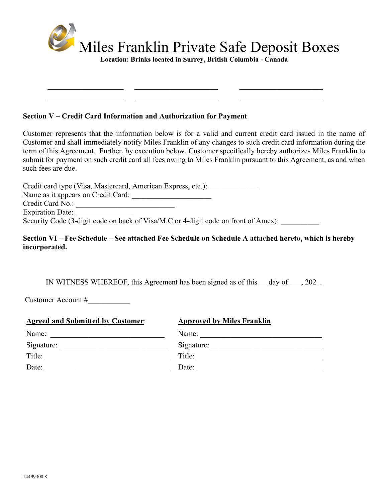

 $\mathcal{L}_\text{max}$  $\_$  , and the set of the set of the set of the set of the set of the set of the set of the set of the set of the set of the set of the set of the set of the set of the set of the set of the set of the set of the set of th

#### **Section V – Credit Card Information and Authorization for Payment**

Customer represents that the information below is for a valid and current credit card issued in the name of Customer and shall immediately notify Miles Franklin of any changes to such credit card information during the term of this Agreement. Further, by execution below, Customer specifically hereby authorizes Miles Franklin to submit for payment on such credit card all fees owing to Miles Franklin pursuant to this Agreement, as and when such fees are due.

Credit card type (Visa, Mastercard, American Express, etc.): Name as it appears on Credit Card: \_\_\_\_\_\_\_\_\_\_\_\_\_\_\_\_\_\_\_\_\_ Credit Card No.: \_\_\_\_\_\_\_\_\_\_\_\_\_\_\_\_\_\_\_\_\_\_\_\_\_\_ Expiration Date: Security Code (3-digit code on back of Visa/M.C or 4-digit code on front of Amex):

## **Section VI – Fee Schedule – See attached Fee Schedule on Schedule A attached hereto, which is hereby incorporated.**

IN WITNESS WHEREOF, this Agreement has been signed as of this \_\_ day of \_\_\_, 202\_.

Customer Account #\_\_\_\_\_\_\_\_\_\_\_

| <b>Agreed and Submitted by Customer:</b>                                                 | <b>Approved by Miles Franklin</b> |
|------------------------------------------------------------------------------------------|-----------------------------------|
| Name:<br>the contract of the contract of the contract of the contract of the contract of | Name:                             |
| Signature:                                                                               | Signature:                        |
| Title:                                                                                   | Title:                            |
| Date:                                                                                    | Date:                             |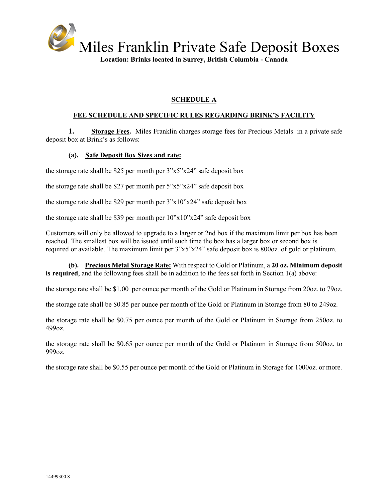

## **SCHEDULE A**

## **FEE SCHEDULE AND SPECIFIC RULES REGARDING BRINK'S FACILITY**

**1. Storage Fees.** Miles Franklin charges storage fees for Precious Metals in a private safe deposit box at Brink's as follows:

## **(a). Safe Deposit Box Sizes and rate:**

the storage rate shall be \$25 per month per 3"x5"x24" safe deposit box

the storage rate shall be \$27 per month per 5"x5"x24" safe deposit box

the storage rate shall be \$29 per month per 3"x10"x24" safe deposit box

the storage rate shall be \$39 per month per 10"x10"x24" safe deposit box

Customers will only be allowed to upgrade to a larger or 2nd box if the maximum limit per box has been reached. The smallest box will be issued until such time the box has a larger box or second box is required or available. The maximum limit per 3"x5"x24" safe deposit box is 800oz. of gold or platinum.

**(b). Precious Metal Storage Rate:** With respect to Gold or Platinum, a **20 oz. Minimum deposit is required**, and the following fees shall be in addition to the fees set forth in Section 1(a) above:

the storage rate shall be \$1.00 per ounce per month of the Gold or Platinum in Storage from 20oz. to 79oz.

the storage rate shall be \$0.85 per ounce per month of the Gold or Platinum in Storage from 80 to 249oz.

the storage rate shall be \$0.75 per ounce per month of the Gold or Platinum in Storage from 250oz. to 499oz.

the storage rate shall be \$0.65 per ounce per month of the Gold or Platinum in Storage from 500oz. to 999oz.

the storage rate shall be \$0.55 per ounce per month of the Gold or Platinum in Storage for 1000oz. or more.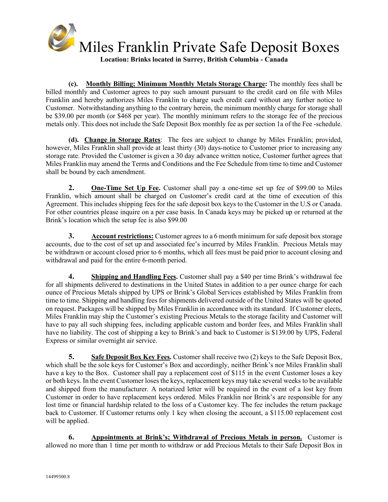

**(c). Monthly Billing; Minimum Monthly Metals Storage Charge:** The monthly fees shall be billed monthly and Customer agrees to pay such amount pursuant to the credit card on file with Miles Franklin and hereby authorizes Miles Franklin to charge such credit card without any further notice to Customer. Notwithstanding anything to the contrary herein, the minimum monthly charge for storage shall be \$39.00 per month (or \$468 per year). The monthly minimum refers to the storage fee of the precious metals only. This does not include the Safe Deposit Box monthly fee as per section 1a of the Fee -schedule.

**(d). Change in Storage Rates**: The fees are subject to change by Miles Franklin; provided, however, Miles Franklin shall provide at least thirty (30) days-notice to Customer prior to increasing any storage rate. Provided the Customer is given a 30 day advance written notice, Customer further agrees that Miles Franklin may amend the Terms and Conditions and the Fee Schedule from time to time and Customer shall be bound by each amendment.

**2. One-Time Set Up Fee.** Customer shall pay a one-time set up fee of \$99.00 to Miles Franklin, which amount shall be charged on Customer's credit card at the time of execution of this Agreement. This includes shipping fees for the safe deposit box keys to the Customer in the U.S or Canada. For other countries please inquire on a per case basis. In Canada keys may be picked up or returned at the Brink's location which the setup fee is also \$99.00

**3. Account restrictions:** Customer agrees to a 6 month minimum for safe deposit box storage accounts, due to the cost of set up and associated fee's incurred by Miles Franklin. Precious Metals may be withdrawn or account closed prior to 6 months, which all fees must be paid prior to account closing and withdrawal and paid for the entire 6-month period.

**4. Shipping and Handling Fees.** Customer shall pay a \$40 per time Brink's withdrawal fee for all shipments delivered to destinations in the United States in addition to a per ounce charge for each ounce of Precious Metals shipped by UPS or Brink's Global Services established by Miles Franklin from time to time. Shipping and handling fees for shipments delivered outside of the United States will be quoted on request. Packages will be shipped by Miles Franklin in accordance with its standard. If Customer elects, Miles Franklin may ship the Customer's existing Precious Metals to the storage facility and Customer will have to pay all such shipping fees, including applicable custom and border fees, and Miles Franklin shall have no liability. The cost of shipping a key to Brink's and back to Customer is \$139.00 by UPS, Federal Express or similar overnight air service.

**5. Safe Deposit Box Key Fees.** Customer shall receive two (2) keys to the Safe Deposit Box, which shall be the sole keys for Customer's Box and accordingly, neither Brink's nor Miles Franklin shall have a key to the Box. Customer shall pay a replacement cost of \$115 in the event Customer loses a key or both keys. In the event Customer loses the keys, replacement keys may take several weeks to be available and shipped from the manufacturer. A notarized letter will be required in the event of a lost key from Customer in order to have replacement keys ordered. Miles Franklin nor Brink's are responsible for any lost time or financial hardship related to the loss of a Customer key. The fee includes the return package back to Customer. If Customer returns only 1 key when closing the account, a \$115.00 replacement cost will be applied.

**6. Appointments at Brink's; Withdrawal of Precious Metals in person.** Customer is allowed no more than 1 time per month to withdraw or add Precious Metals to their Safe Deposit Box in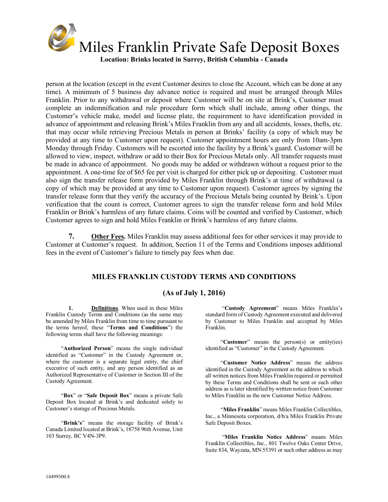

person at the location (except in the event Customer desires to close the Account, which can be done at any time). A minimum of 5 business day advance notice is required and must be arranged through Miles Franklin. Prior to any withdrawal or deposit where Customer will be on site at Brink's, Customer must complete an indemnification and rule procedure form which shall include, among other things, the Customer's vehicle make, model and license plate, the requirement to have identification provided in advance of appointment and releasing Brink's Miles Franklin from any and all accidents, losses, thefts, etc. that may occur while retrieving Precious Metals in person at Brinks' facility (a copy of which may be provided at any time to Customer upon request). Customer appointment hours are only from 10am-3pm Monday through Friday. Customers will be escorted into the facility by a Brink's guard. Customer will be allowed to view, inspect, withdraw or add to their Box for Precious Metals only. All transfer requests must be made in advance of appointment. No goods may be added or withdrawn without a request prior to the appointment. A one-time fee of \$65 fee per visit is charged for either pick up or depositing. Customer must also sign the transfer release form provided by Miles Franklin through Brink's at time of withdrawal (a copy of which may be provided at any time to Customer upon request). Customer agrees by signing the transfer release form that they verify the accuracy of the Precious Metals being counted by Brink's. Upon verification that the count is correct, Customer agrees to sign the transfer release form and hold Miles Franklin or Brink's harmless of any future claims. Coins will be counted and verified by Customer, which Customer agrees to sign and hold Miles Franklin or Brink's harmless of any future claims.

**7. Other Fees.** Miles Franklin may assess additional fees for other services it may provide to Customer at Customer's request. In addition, Section 11 of the Terms and Conditions imposes additional fees in the event of Customer's failure to timely pay fees when due.

## **MILES FRANKLIN CUSTODY TERMS AND CONDITIONS**

## **(As of July 1, 2016)**

**1. Definitions**. When used in these Miles Franklin Custody Terms and Conditions (as the same may be amended by Miles Franklin from time to time pursuant to the terms hereof, these "**Terms and Conditions**") the following terms shall have the following meanings:

"**Authorized Person**" means the single individual identified as "Customer" in the Custody Agreement or, where the customer is a separate legal entity, the chief executive of such entity, and any person identified as an Authorized Representative of Customer in Section III of the Custody Agreement.

"**Box**" or "**Safe Deposit Box**" means a private Safe Deposit Box located at Brink's and dedicated solely to Customer's storage of Precious Metals.

"**Brink's**" means the storage facility of Brink's Canada Limited located at Brink's, 18758 96th Avenue, Unit 103 Surrey, BC V4N-3P9.

"**Custody Agreement**" means Miles Franklin's standard form of Custody Agreement executed and delivered by Customer to Miles Franklin and accepted by Miles Franklin.

"**Customer**" means the person(s) or entity(ies) identified as "Customer" in the Custody Agreement.

"**Customer Notice Address**" means the address identified in the Custody Agreement as the address to which all written notices from Miles Franklin required or permitted by these Terms and Conditions shall be sent or such other address as is later identified by written notice from Customer to Miles Franklin as the new Customer Notice Address.

"**Miles Franklin**" means Miles Franklin Collectibles, Inc., a Minnesota corporation, d/b/a Miles Franklin Private Safe Deposit Boxes.

"**Miles Franklin Notice Address**" means Miles Franklin Collectibles, Inc., 801 Twelve Oaks Center Drive, Suite 834, Wayzata, MN 55391 or such other address as may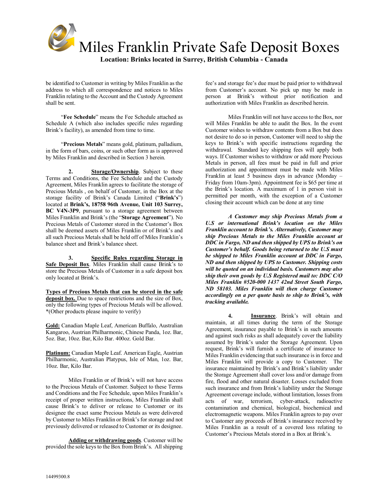

be identified to Customer in writing by Miles Franklin as the address to which all correspondence and notices to Miles Franklin relating to the Account and the Custody Agreement shall be sent.

"**Fee Schedule**" means the Fee Schedule attached as Schedule A (which also includes specific rules regarding Brink's facility), as amended from time to time.

"**Precious Metals**" means gold, platinum, palladium, in the form of bars, coins, or such other form as is approved by Miles Franklin and described in Section 3 herein.

**2. Storage/Ownership**. Subject to these Terms and Conditions, the Fee Schedule and the Custody Agreement, Miles Franklin agrees to facilitate the storage of Precious Metals , on behalf of Customer, in the Box at the storage facility of Brink's Canada Limited ("**Brink's**") located at **Brink's, 18758 96th Avenue, Unit 103 Surrey, BC V4N-3P9**, pursuant to a storage agreement between Miles Franklin and Brink's (the "**Storage Agreement**"). No Precious Metals of Customer stored in the Customer's Box shall be deemed assets of Miles Franklin or of Brink's and all such Precious Metals shall be held off of Miles Franklin's balance sheet and Brink's balance sheet.

**3. Specific Rules regarding Storage in Safe Deposit Box**. Miles Franklin shall cause Brink's to store the Precious Metals of Customer in a safe deposit box only located at Brink's.

**Types of Precious Metals that can be stored in the safe deposit box.** Due to space restrictions and the size of Box, only the following types of Precious Metals will be allowed. \*(Other products please inquire to verify)

**Gold:** Canadian Maple Leaf, American Buffalo, Australian Kangaroo, Austrian Philharmonic, Chinese Panda, 1oz. Bar, 5oz. Bar, 10oz. Bar, Kilo Bar. 400oz. Gold Bar.

**Platinum:** Canadian Maple Leaf. American Eagle, Austrian Philharmonic, Australian Platypus, Isle of Man, 1oz. Bar, 10oz. Bar, Kilo Bar.

Miles Franklin or of Brink's will not have access to the Precious Metals of Customer. Subject to these Terms and Conditions and the Fee Schedule, upon Miles Franklin's receipt of proper written instructions, Miles Franklin shall cause Brink's to deliver or release to Customer or its designee the exact same Precious Metals as were delivered by Customer to Miles Franklin or Brink's for storage and not previously delivered or released to Customer or its designee.

**Adding or withdrawing goods**. Customer will be provided the sole keysto the Box from Brink's. All shipping fee's and storage fee's due must be paid prior to withdrawal from Customer's account. No pick up may be made in person at Brink's without prior notification and authorization with Miles Franklin as described herein.

Miles Franklin will not have access to the Box, nor will Miles Franklin be able to audit the Box. In the event Customer wishes to withdraw contents from a Box but does not desire to do so in person, Customer will need to ship the keys to Brink's with specific instructions regarding the withdrawal. Standard key shipping fees will apply both ways. If Customer wishes to withdraw or add more Precious Metals in person, all fees must be paid in full and prior authorization and appointment must be made with Miles Franklin at least 5 business days in advance (Monday – Friday from 10am-3pm). Appointment fee is \$65 per time at the Brink's location. A maximum of 1 in person visit is permitted per month, with the exception of a Customer closing their account which can be done at any time

*A Customer may ship Precious Metals from a U.S or international Brink's location on the Miles Franklin account to Brink's. Alternatively, Customer may ship Precious Metals to the Miles Franklin account at DDC in Fargo, ND and then shipped by UPS to Brink's on Customer's behalf. Goods being returned to the U.S must be shipped to Miles Franklin account at DDC in Fargo, ND and then shipped by UPS to Customer. Shipping costs will be quoted on an individual basis. Customers may also ship their own goods by U.S Registered mail to: DDC C/O Miles Franklin #520-000 1437 42nd Street South Fargo, ND 58103. Miles Franklin will then charge Customer accordingly on a per quote basis to ship to Brink's, with tracking available.*

**4. Insurance**. Brink's will obtain and maintain, at all times during the term of the Storage Agreement, insurance payable to Brink's in such amounts and against such risks as shall adequately cover the liability assumed by Brink's under the Storage Agreement. Upon request, Brink's will furnish a certificate of insurance to Miles Franklin evidencing that such insurance is in force and Miles Franklin will provide a copy to Customer. The insurance maintained by Brink's and Brink's liability under the Storage Agreement shall cover loss and/or damage from fire, flood and other natural disaster. Losses excluded from such insurance and from Brink's liability under the Storage Agreement coverage include, without limitation, losses from acts of war, terrorism, cyber-attack, radioactive contamination and chemical, biological, biochemical and electromagnetic weapons. Miles Franklin agrees to pay over to Customer any proceeds of Brink's insurance received by Miles Franklin as a result of a covered loss relating to Customer's Precious Metals stored in a Box at Brink's.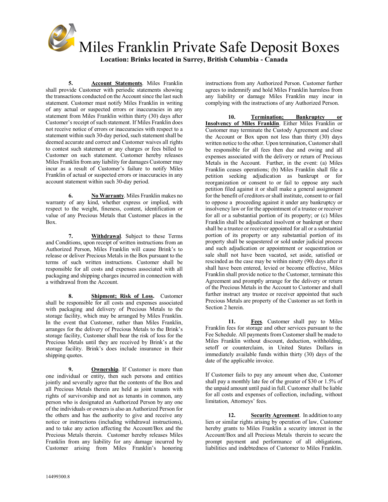

**5. Account Statements**. Miles Franklin shall provide Customer with periodic statements showing the transactions conducted on the Account since the last such statement. Customer must notify Miles Franklin in writing of any actual or suspected errors or inaccuracies in any statement from Miles Franklin within thirty (30) days after Customer's receipt of such statement. If Miles Franklin does not receive notice of errors or inaccuracies with respect to a statement within such 30-day period, such statement shall be deemed accurate and correct and Customer waives all rights to contest such statement or any charges or fees billed to Customer on such statement. Customer hereby releases Miles Franklin from any liability for damages Customer may incur as a result of Customer's failure to notify Miles Franklin of actual or suspected errors or inaccuracies in any account statement within such 30-day period.

**6. No Warranty**. Miles Franklin makes no warranty of any kind, whether express or implied, with respect to the weight, fineness, content, identification or value of any Precious Metals that Customer places in the Box.

**7. Withdrawal**. Subject to these Terms and Conditions, upon receipt of written instructions from an Authorized Person, Miles Franklin will cause Brink's to release or deliver Precious Metals in the Box pursuant to the terms of such written instructions. Customer shall be responsible for all costs and expenses associated with all packaging and shipping charges incurred in connection with a withdrawal from the Account.

**8. Shipment; Risk of Loss.** Customer shall be responsible for all costs and expenses associated with packaging and delivery of Precious Metals to the storage facility, which may be arranged by Miles Franklin. In the event that Customer, rather than Miles Franklin, arranges for the delivery of Precious Metals to the Brink's storage facility, Customer shall bear the risk of loss for the Precious Metals until they are received by Brink's at the storage facility. Brink's does include insurance in their shipping quotes.

**9. Ownership**. If Customer is more than one individual or entity, then such persons and entities jointly and severally agree that the contents of the Box and all Precious Metals therein are held as joint tenants with rights of survivorship and not as tenants in common, any person who is designated an Authorized Person by any one of the individuals or owners is also an Authorized Person for the others and has the authority to give and receive any notice or instructions (including withdrawal instructions), and to take any action affecting the Account/Box and the Precious Metals therein. Customer hereby releases Miles Franklin from any liability for any damage incurred by Customer arising from Miles Franklin's honoring

instructions from any Authorized Person. Customer further agrees to indemnify and hold Miles Franklin harmless from any liability or damage Miles Franklin may incur in complying with the instructions of any Authorized Person.

**10. Termination; Bankruptcy Insolvency of Miles Franklin**. Either Miles Franklin or Customer may terminate the Custody Agreement and close the Account or Box upon not less than thirty (30) days written notice to the other. Upon termination, Customer shall be responsible for all fees then due and owing and all expenses associated with the delivery or return of Precious Metals in the Account. Further, in the event: (a) Miles Franklin ceases operations; (b) Miles Franklin shall file a petition seeking adjudication as bankrupt or for reorganization or consent to or fail to oppose any such petition filed against it or shall make a general assignment for the benefit of creditors or shall institute, consent to or fail to oppose a proceeding against it under any bankruptcy or insolvency law or for the appointment of a trustee or receiver for all or a substantial portion of its property; or (c) Miles Franklin shall be adjudicated insolvent or bankrupt or there shall be a trustee or receiver appointed for all or a substantial portion of its property or any substantial portion of its property shall be sequestered or sold under judicial process and such adjudication or appointment or sequestration or sale shall not have been vacated, set aside, satisfied or rescinded as the case may be within ninety (90) days after it shall have been entered, levied or become effective, Miles Franklin shall provide notice to the Customer, terminate this Agreement and promptly arrange for the delivery or return of the Precious Metals in the Account to Customer and shall further instruct any trustee or receiver appointed that such Precious Metals are property of the Customer as set forth in Section 2 herein.

**11. Fees**. Customer shall pay to Miles Franklin fees for storage and other services pursuant to the Fee Schedule. All payments from Customer shall be made to Miles Franklin without discount, deduction, withholding, setoff or counterclaim, in United States Dollars in immediately available funds within thirty (30) days of the date of the applicable invoice.

If Customer fails to pay any amount when due, Customer shall pay a monthly late fee of the greater of \$30 or 1.5% of the unpaid amount until paid in full. Customer shall be liable for all costs and expenses of collection, including, without limitation, Attorneys' fees.

**12. Security Agreement**. In addition to any lien or similar rights arising by operation of law, Customer hereby grants to Miles Franklin a security interest in the Account/Box and all Precious Metals therein to secure the prompt payment and performance of all obligations, liabilities and indebtedness of Customer to Miles Franklin.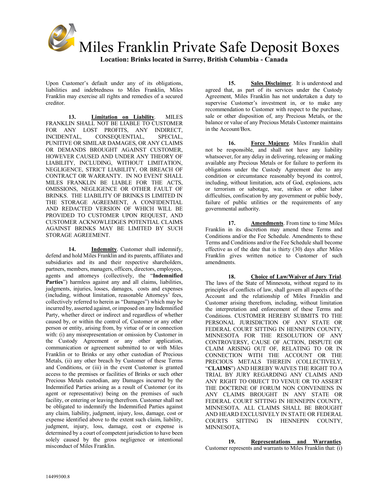

Upon Customer's default under any of its obligations, liabilities and indebtedness to Miles Franklin, Miles Franklin may exercise all rights and remedies of a secured creditor.

**13. Limitation on Liability**. MILES FRANKLIN SHALL NOT BE LIABLE TO CUSTOMER FOR ANY LOST PROFITS, ANY INDIRECT, INCIDENTAL, CONSEQUENTIAL, SPECIAL, PUNITIVE OR SIMILAR DAMAGES, OR ANY CLAIMS OR DEMANDS BROUGHT AGAINST CUSTOMER, HOWEVER CAUSED AND UNDER ANY THEORY OF LIABILITY, INCLUDING, WITHOUT LIMITATION, NEGLIGENCE, STRICT LIABILITY, OR BREACH OF CONTRACT OR WARRANTY. IN NO EVENT SHALL MILES FRANKLIN BE LIABLE FOR THE ACTS, OMISSIONS, NEGLIGENCE OR OTHER FAULT OF BRINKS. THE LIABILITY OF BRINKS IS LIMITED IN THE STORAGE AGREEMENT, A CONFIDENTIAL AND REDACTED VERSION OF WHICH WILL BE PROVIDED TO CUSTOMER UPON REQUEST, AND CUSTOMER ACKNOWLEDGES POTENTIAL CLAIMS AGAINST BRINKS MAY BE LIMITED BY SUCH STORAGE AGREEMENT.

**14. Indemnity**. Customer shall indemnify, defend and hold Miles Franklin and its parents, affiliates and subsidiaries and its and their respective shareholders, partners, members, managers, officers, directors, employees, agents and attorneys (collectively, the "**Indemnified**  Parties") harmless against any and all claims, liabilities, judgments, injuries, losses, damages, costs and expenses (including, without limitation, reasonable Attorneys' fees, collectively referred to herein as "Damages") which may be incurred by, asserted against, or imposed on any Indemnified Party, whether direct or indirect and regardless of whether caused by, or within the control of, Customer or any other person or entity, arising from, by virtue of or in connection with: (i) any misrepresentation or omission by Customer in the Custody Agreement or any other application, communication or agreement submitted to or with Miles Franklin or to Brinks or any other custodian of Precious Metals, (ii) any other breach by Customer of these Terms and Conditions, or (iii) in the event Customer is granted access to the premises or facilities of Brinks or such other Precious Metals custodian, any Damages incurred by the Indemnified Parties arising as a result of Customer (or its agent or representative) being on the premises of such facility, or entering or leaving therefrom. Customer shall not be obligated to indemnify the Indemnified Parties against any claim, liability, judgment, injury, loss, damage, cost or expense identified above to the extent such claim, liability, judgment, injury, loss, damage, cost or expense is determined by a court of competent jurisdiction to have been solely caused by the gross negligence or intentional misconduct of Miles Franklin.

**15. Sales Disclaimer**. It is understood and agreed that, as part of its services under the Custody Agreement, Miles Franklin has not undertaken a duty to supervise Customer's investment in, or to make any recommendation to Customer with respect to the purchase, sale or other disposition of, any Precious Metals, or the balance or value of any Precious Metals Customer maintains in the Account/Box.

**16. Force Majeure**. Miles Franklin shall not be responsible, and shall not have any liability whatsoever, for any delay in delivering, releasing or making available any Precious Metals or for failure to perform its obligations under the Custody Agreement due to any condition or circumstance reasonably beyond its control, including, without limitation, acts of God, explosions, acts or terrorism or sabotage, war, strikes or other labor difficulties, confiscation by any government or public body, failure of public utilities or the requirements of any governmental authority.

**17. Amendments**. From time to time Miles Franklin in its discretion may amend these Terms and Conditions and/or the Fee Schedule. Amendments to these Terms and Conditions and/or the Fee Schedule shall become effective as of the date that is thirty (30) days after Miles Franklin gives written notice to Customer of such amendments.

**18. Choice of Law/Waiver of Jury Trial**. The laws of the State of Minnesota, without regard to its principles of conflicts of law, shall govern all aspects of the Account and the relationship of Miles Franklin and Customer arising therefrom, including, without limitation the interpretation and enforcement of these Terms and Conditions. CUSTOMER HEREBY SUBMITS TO THE PERSONAL JURISDICTION OF ANY STATE OR FEDERAL COURT SITTING IN HENNEPIN COUNTY, MINNESOTA FOR THE RESOLUTION OF ANY CONTROVERSY, CAUSE OF ACTION, DISPUTE OR CLAIM ARISING OUT OF, RELATING TO OR IN CONNECTION WITH THE ACCOUNT OR THE PRECIOUS METALS THEREIN (COLLECTIVELY, "**CLAIMS**") AND HEREBY WAIVES THE RIGHT TO A TRIAL BY JURY REGARDING ANY CLAIMS AND ANY RIGHT TO OBJECT TO VENUE OR TO ASSERT THE DOCTRINE OF FORUM NON CONVENIENS IN ANY CLAIMS BROUGHT IN ANY STATE OR FEDERAL COURT SITTING IN HENNEPIN COUNTY, MINNESOTA. ALL CLAIMS SHALL BE BROUGHT AND HEARD EXCLUSIVELY IN STATE OR FEDERAL COURTS SITTING IN HENNEPIN COUNTY, **MINNESOTA** 

**19. Representations and Warranties**. Customer represents and warrants to Miles Franklin that: (i)